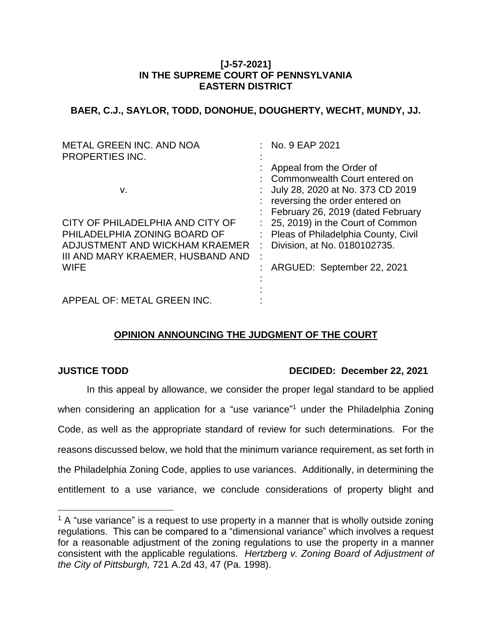## **[J-57-2021] IN THE SUPREME COURT OF PENNSYLVANIA EASTERN DISTRICT**

**BAER, C.J., SAYLOR, TODD, DONOHUE, DOUGHERTY, WECHT, MUNDY, JJ.**

| <b>METAL GREEN INC. AND NOA</b><br><b>PROPERTIES INC.</b>                                                                                              |   | : No. 9 EAP 2021                                                                                                                                                                   |
|--------------------------------------------------------------------------------------------------------------------------------------------------------|---|------------------------------------------------------------------------------------------------------------------------------------------------------------------------------------|
| v.                                                                                                                                                     |   | Appeal from the Order of<br>: Commonwealth Court entered on<br>July 28, 2020 at No. 373 CD 2019<br>: reversing the order entered on                                                |
| CITY OF PHILADELPHIA AND CITY OF<br>PHILADELPHIA ZONING BOARD OF<br>ADJUSTMENT AND WICKHAM KRAEMER<br>III AND MARY KRAEMER, HUSBAND AND<br><b>WIFE</b> | ÷ | : February 26, 2019 (dated February<br>: 25, 2019) in the Court of Common<br>: Pleas of Philadelphia County, Civil<br>Division, at No. 0180102735.<br>: ARGUED: September 22, 2021 |
| APPEAL OF: METAL GREEN INC.                                                                                                                            |   |                                                                                                                                                                                    |

# **OPINION ANNOUNCING THE JUDGMENT OF THE COURT**

 $\overline{a}$ 

# **JUSTICE TODD DECIDED: December 22, 2021**

In this appeal by allowance, we consider the proper legal standard to be applied when considering an application for a "use variance"<sup>1</sup> under the Philadelphia Zoning Code, as well as the appropriate standard of review for such determinations. For the reasons discussed below, we hold that the minimum variance requirement, as set forth in the Philadelphia Zoning Code, applies to use variances. Additionally, in determining the entitlement to a use variance, we conclude considerations of property blight and

 $1$  A "use variance" is a request to use property in a manner that is wholly outside zoning regulations. This can be compared to a "dimensional variance" which involves a request for a reasonable adjustment of the zoning regulations to use the property in a manner consistent with the applicable regulations. *Hertzberg v. Zoning Board of Adjustment of the City of Pittsburgh,* 721 A.2d 43, 47 (Pa. 1998).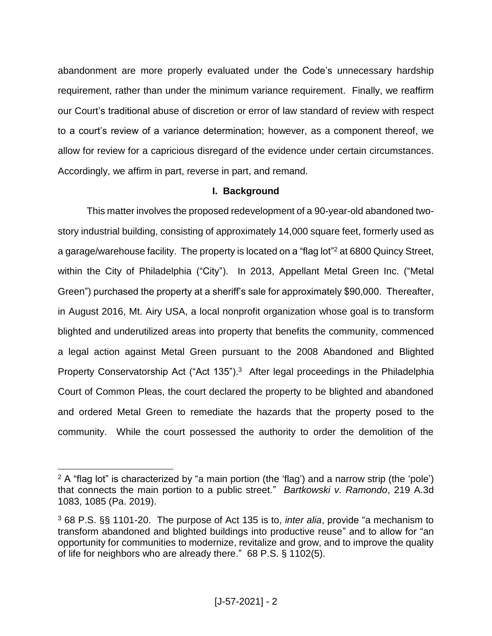abandonment are more properly evaluated under the Code's unnecessary hardship requirement, rather than under the minimum variance requirement. Finally, we reaffirm our Court's traditional abuse of discretion or error of law standard of review with respect to a court's review of a variance determination; however, as a component thereof, we allow for review for a capricious disregard of the evidence under certain circumstances. Accordingly, we affirm in part, reverse in part, and remand.

# **I. Background**

This matter involves the proposed redevelopment of a 90-year-old abandoned twostory industrial building, consisting of approximately 14,000 square feet, formerly used as a garage/warehouse facility. The property is located on a "flag lot"<sup>2</sup> at 6800 Quincy Street, within the City of Philadelphia ("City"). In 2013, Appellant Metal Green Inc. ("Metal Green") purchased the property at a sheriff's sale for approximately \$90,000. Thereafter, in August 2016, Mt. Airy USA, a local nonprofit organization whose goal is to transform blighted and underutilized areas into property that benefits the community, commenced a legal action against Metal Green pursuant to the 2008 Abandoned and Blighted Property Conservatorship Act ("Act 135").<sup>3</sup> After legal proceedings in the Philadelphia Court of Common Pleas, the court declared the property to be blighted and abandoned and ordered Metal Green to remediate the hazards that the property posed to the community. While the court possessed the authority to order the demolition of the

 $2 A$  "flag lot" is characterized by "a main portion (the 'flag') and a narrow strip (the 'pole') that connects the main portion to a public street." *Bartkowski v. Ramondo*, 219 A.3d 1083, 1085 (Pa. 2019).

<sup>3</sup> 68 P.S. §§ 1101-20. The purpose of Act 135 is to, *inter alia*, provide "a mechanism to transform abandoned and blighted buildings into productive reuse" and to allow for "an opportunity for communities to modernize, revitalize and grow, and to improve the quality of life for neighbors who are already there." 68 P.S. § 1102(5).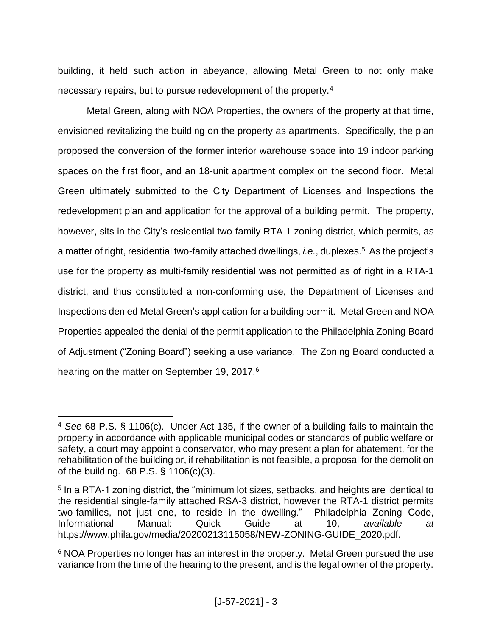building, it held such action in abeyance, allowing Metal Green to not only make necessary repairs, but to pursue redevelopment of the property.<sup>4</sup>

Metal Green, along with NOA Properties, the owners of the property at that time, envisioned revitalizing the building on the property as apartments. Specifically, the plan proposed the conversion of the former interior warehouse space into 19 indoor parking spaces on the first floor, and an 18-unit apartment complex on the second floor. Metal Green ultimately submitted to the City Department of Licenses and Inspections the redevelopment plan and application for the approval of a building permit. The property, however, sits in the City's residential two-family RTA-1 zoning district, which permits, as a matter of right, residential two-family attached dwellings, *i.e.*, duplexes.<sup>5</sup> As the project's use for the property as multi-family residential was not permitted as of right in a RTA-1 district, and thus constituted a non-conforming use, the Department of Licenses and Inspections denied Metal Green's application for a building permit. Metal Green and NOA Properties appealed the denial of the permit application to the Philadelphia Zoning Board of Adjustment ("Zoning Board") seeking a use variance. The Zoning Board conducted a hearing on the matter on September 19, 2017.<sup>6</sup>

<sup>4</sup> *See* 68 P.S. § 1106(c). Under Act 135, if the owner of a building fails to maintain the property in accordance with applicable municipal codes or standards of public welfare or safety, a court may appoint a conservator, who may present a plan for abatement, for the rehabilitation of the building or, if rehabilitation is not feasible, a proposal for the demolition of the building. 68 P.S. § 1106(c)(3).

<sup>&</sup>lt;sup>5</sup> In a RTA-1 zoning district, the "minimum lot sizes, setbacks, and heights are identical to the residential single-family attached RSA-3 district, however the RTA-1 district permits two-families, not just one, to reside in the dwelling." Philadelphia Zoning Code, Informational Manual: Quick Guide at 10, *available at* https://www.phila.gov/media/20200213115058/NEW-ZONING-GUIDE\_2020.pdf.

<sup>&</sup>lt;sup>6</sup> NOA Properties no longer has an interest in the property. Metal Green pursued the use variance from the time of the hearing to the present, and is the legal owner of the property.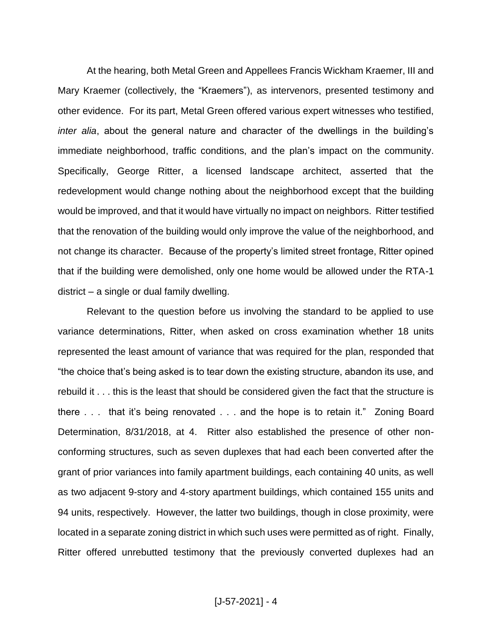At the hearing, both Metal Green and Appellees Francis Wickham Kraemer, III and Mary Kraemer (collectively, the "Kraemers"), as intervenors, presented testimony and other evidence. For its part, Metal Green offered various expert witnesses who testified, *inter alia*, about the general nature and character of the dwellings in the building's immediate neighborhood, traffic conditions, and the plan's impact on the community. Specifically, George Ritter, a licensed landscape architect, asserted that the redevelopment would change nothing about the neighborhood except that the building would be improved, and that it would have virtually no impact on neighbors. Ritter testified that the renovation of the building would only improve the value of the neighborhood, and not change its character. Because of the property's limited street frontage, Ritter opined that if the building were demolished, only one home would be allowed under the RTA-1 district – a single or dual family dwelling.

Relevant to the question before us involving the standard to be applied to use variance determinations, Ritter, when asked on cross examination whether 18 units represented the least amount of variance that was required for the plan, responded that "the choice that's being asked is to tear down the existing structure, abandon its use, and rebuild it . . . this is the least that should be considered given the fact that the structure is there . . . that it's being renovated . . . and the hope is to retain it." Zoning Board Determination, 8/31/2018, at 4. Ritter also established the presence of other nonconforming structures, such as seven duplexes that had each been converted after the grant of prior variances into family apartment buildings, each containing 40 units, as well as two adjacent 9-story and 4-story apartment buildings, which contained 155 units and 94 units, respectively. However, the latter two buildings, though in close proximity, were located in a separate zoning district in which such uses were permitted as of right. Finally, Ritter offered unrebutted testimony that the previously converted duplexes had an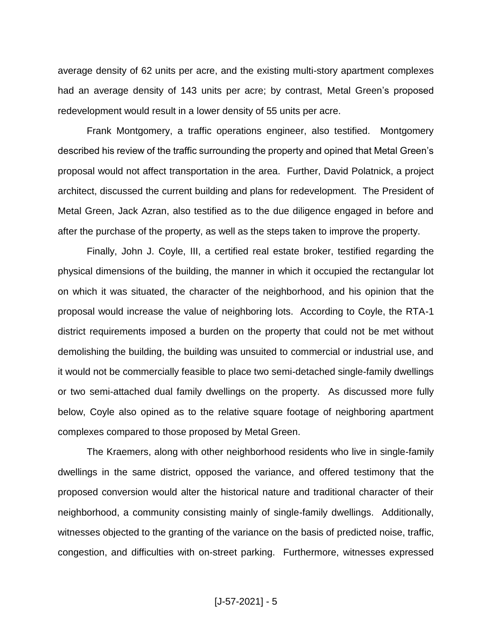average density of 62 units per acre, and the existing multi-story apartment complexes had an average density of 143 units per acre; by contrast, Metal Green's proposed redevelopment would result in a lower density of 55 units per acre.

Frank Montgomery, a traffic operations engineer, also testified. Montgomery described his review of the traffic surrounding the property and opined that Metal Green's proposal would not affect transportation in the area. Further, David Polatnick, a project architect, discussed the current building and plans for redevelopment. The President of Metal Green, Jack Azran, also testified as to the due diligence engaged in before and after the purchase of the property, as well as the steps taken to improve the property.

Finally, John J. Coyle, III, a certified real estate broker, testified regarding the physical dimensions of the building, the manner in which it occupied the rectangular lot on which it was situated, the character of the neighborhood, and his opinion that the proposal would increase the value of neighboring lots. According to Coyle, the RTA-1 district requirements imposed a burden on the property that could not be met without demolishing the building, the building was unsuited to commercial or industrial use, and it would not be commercially feasible to place two semi-detached single-family dwellings or two semi-attached dual family dwellings on the property. As discussed more fully below, Coyle also opined as to the relative square footage of neighboring apartment complexes compared to those proposed by Metal Green.

The Kraemers, along with other neighborhood residents who live in single-family dwellings in the same district, opposed the variance, and offered testimony that the proposed conversion would alter the historical nature and traditional character of their neighborhood, a community consisting mainly of single-family dwellings. Additionally, witnesses objected to the granting of the variance on the basis of predicted noise, traffic, congestion, and difficulties with on-street parking. Furthermore, witnesses expressed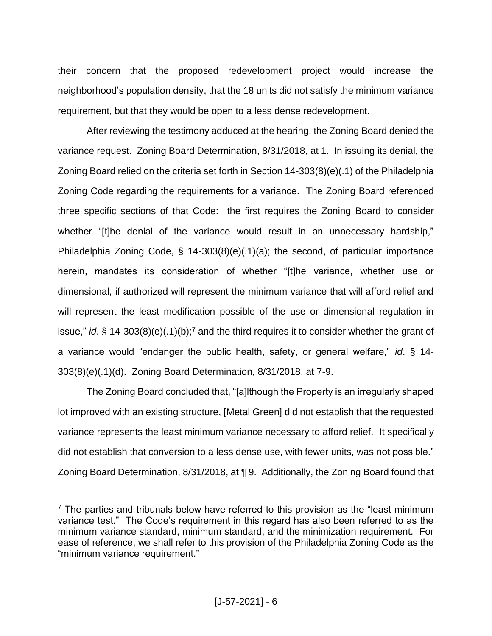their concern that the proposed redevelopment project would increase the neighborhood's population density, that the 18 units did not satisfy the minimum variance requirement, but that they would be open to a less dense redevelopment.

After reviewing the testimony adduced at the hearing, the Zoning Board denied the variance request. Zoning Board Determination, 8/31/2018, at 1. In issuing its denial, the Zoning Board relied on the criteria set forth in Section 14-303(8)(e)(.1) of the Philadelphia Zoning Code regarding the requirements for a variance. The Zoning Board referenced three specific sections of that Code: the first requires the Zoning Board to consider whether "[t]he denial of the variance would result in an unnecessary hardship," Philadelphia Zoning Code, § 14-303(8)(e)(.1)(a); the second, of particular importance herein, mandates its consideration of whether "[t]he variance, whether use or dimensional, if authorized will represent the minimum variance that will afford relief and will represent the least modification possible of the use or dimensional regulation in issue," *id*. § 14-303(8)(e)(.1)(b);<sup>7</sup> and the third requires it to consider whether the grant of a variance would "endanger the public health, safety, or general welfare," *id*. § 14- 303(8)(e)(.1)(d). Zoning Board Determination, 8/31/2018, at 7-9.

The Zoning Board concluded that, "[a]lthough the Property is an irregularly shaped lot improved with an existing structure, [Metal Green] did not establish that the requested variance represents the least minimum variance necessary to afford relief. It specifically did not establish that conversion to a less dense use, with fewer units, was not possible." Zoning Board Determination, 8/31/2018, at ¶ 9. Additionally, the Zoning Board found that

 $7$  The parties and tribunals below have referred to this provision as the "least minimum variance test." The Code's requirement in this regard has also been referred to as the minimum variance standard, minimum standard, and the minimization requirement. For ease of reference, we shall refer to this provision of the Philadelphia Zoning Code as the "minimum variance requirement."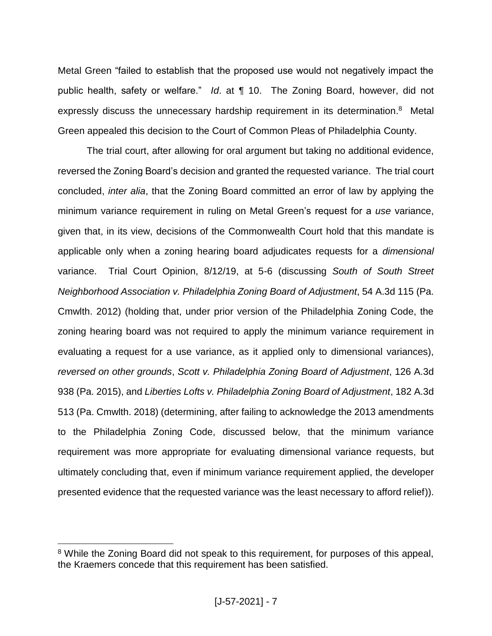Metal Green "failed to establish that the proposed use would not negatively impact the public health, safety or welfare." *Id*. at ¶ 10. The Zoning Board, however, did not expressly discuss the unnecessary hardship requirement in its determination.<sup>8</sup> Metal Green appealed this decision to the Court of Common Pleas of Philadelphia County.

The trial court, after allowing for oral argument but taking no additional evidence, reversed the Zoning Board's decision and granted the requested variance. The trial court concluded, *inter alia*, that the Zoning Board committed an error of law by applying the minimum variance requirement in ruling on Metal Green's request for a *use* variance, given that, in its view, decisions of the Commonwealth Court hold that this mandate is applicable only when a zoning hearing board adjudicates requests for a *dimensional*  variance. Trial Court Opinion, 8/12/19, at 5-6 (discussing *South of South Street Neighborhood Association v. Philadelphia Zoning Board of Adjustment*, 54 A.3d 115 (Pa. Cmwlth. 2012) (holding that, under prior version of the Philadelphia Zoning Code, the zoning hearing board was not required to apply the minimum variance requirement in evaluating a request for a use variance, as it applied only to dimensional variances), *reversed on other grounds*, *Scott v. Philadelphia Zoning Board of Adjustment*, 126 A.3d 938 (Pa. 2015), and *Liberties Lofts v. Philadelphia Zoning Board of Adjustment*, 182 A.3d 513 (Pa. Cmwlth. 2018) (determining, after failing to acknowledge the 2013 amendments to the Philadelphia Zoning Code, discussed below, that the minimum variance requirement was more appropriate for evaluating dimensional variance requests, but ultimately concluding that, even if minimum variance requirement applied, the developer presented evidence that the requested variance was the least necessary to afford relief)).

<sup>&</sup>lt;sup>8</sup> While the Zoning Board did not speak to this requirement, for purposes of this appeal, the Kraemers concede that this requirement has been satisfied.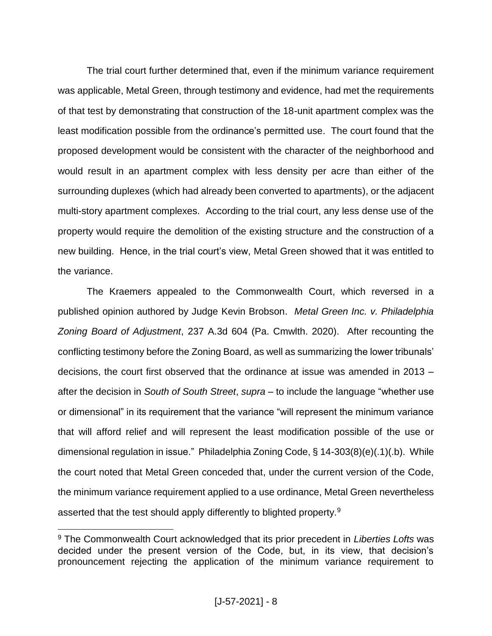The trial court further determined that, even if the minimum variance requirement was applicable, Metal Green, through testimony and evidence, had met the requirements of that test by demonstrating that construction of the 18-unit apartment complex was the least modification possible from the ordinance's permitted use. The court found that the proposed development would be consistent with the character of the neighborhood and would result in an apartment complex with less density per acre than either of the surrounding duplexes (which had already been converted to apartments), or the adjacent multi-story apartment complexes. According to the trial court, any less dense use of the property would require the demolition of the existing structure and the construction of a new building. Hence, in the trial court's view, Metal Green showed that it was entitled to the variance.

The Kraemers appealed to the Commonwealth Court, which reversed in a published opinion authored by Judge Kevin Brobson. *Metal Green Inc. v. Philadelphia Zoning Board of Adjustment*, 237 A.3d 604 (Pa. Cmwlth. 2020). After recounting the conflicting testimony before the Zoning Board, as well as summarizing the lower tribunals' decisions, the court first observed that the ordinance at issue was amended in 2013 – after the decision in *South of South Street*, *supra* – to include the language "whether use or dimensional" in its requirement that the variance "will represent the minimum variance that will afford relief and will represent the least modification possible of the use or dimensional regulation in issue." Philadelphia Zoning Code, § 14-303(8)(e)(.1)(.b). While the court noted that Metal Green conceded that, under the current version of the Code, the minimum variance requirement applied to a use ordinance, Metal Green nevertheless asserted that the test should apply differently to blighted property.<sup>9</sup>

<sup>9</sup> The Commonwealth Court acknowledged that its prior precedent in *Liberties Lofts* was decided under the present version of the Code, but, in its view, that decision's pronouncement rejecting the application of the minimum variance requirement to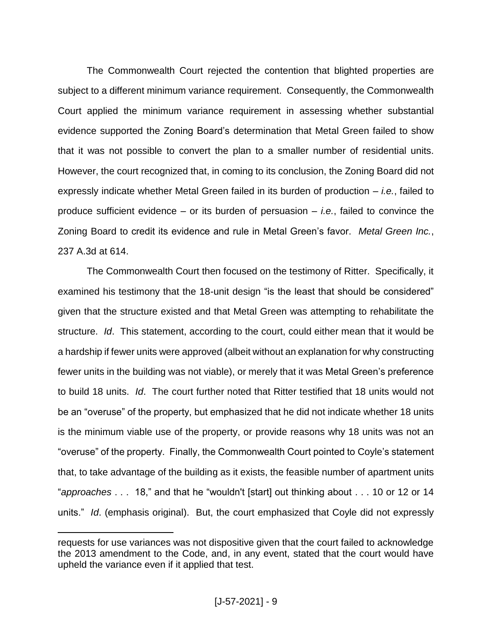The Commonwealth Court rejected the contention that blighted properties are subject to a different minimum variance requirement. Consequently, the Commonwealth Court applied the minimum variance requirement in assessing whether substantial evidence supported the Zoning Board's determination that Metal Green failed to show that it was not possible to convert the plan to a smaller number of residential units. However, the court recognized that, in coming to its conclusion, the Zoning Board did not expressly indicate whether Metal Green failed in its burden of production – *i.e.*, failed to produce sufficient evidence – or its burden of persuasion – *i.e.*, failed to convince the Zoning Board to credit its evidence and rule in Metal Green's favor. *Metal Green Inc.*, 237 A.3d at 614.

The Commonwealth Court then focused on the testimony of Ritter. Specifically, it examined his testimony that the 18-unit design "is the least that should be considered" given that the structure existed and that Metal Green was attempting to rehabilitate the structure. *Id*. This statement, according to the court, could either mean that it would be a hardship if fewer units were approved (albeit without an explanation for why constructing fewer units in the building was not viable), or merely that it was Metal Green's preference to build 18 units. *Id*. The court further noted that Ritter testified that 18 units would not be an "overuse" of the property, but emphasized that he did not indicate whether 18 units is the minimum viable use of the property, or provide reasons why 18 units was not an "overuse" of the property. Finally, the Commonwealth Court pointed to Coyle's statement that, to take advantage of the building as it exists, the feasible number of apartment units "*approaches* . . . 18," and that he "wouldn't [start] out thinking about . . . 10 or 12 or 14 units." *Id*. (emphasis original). But, the court emphasized that Coyle did not expressly

requests for use variances was not dispositive given that the court failed to acknowledge the 2013 amendment to the Code, and, in any event, stated that the court would have upheld the variance even if it applied that test.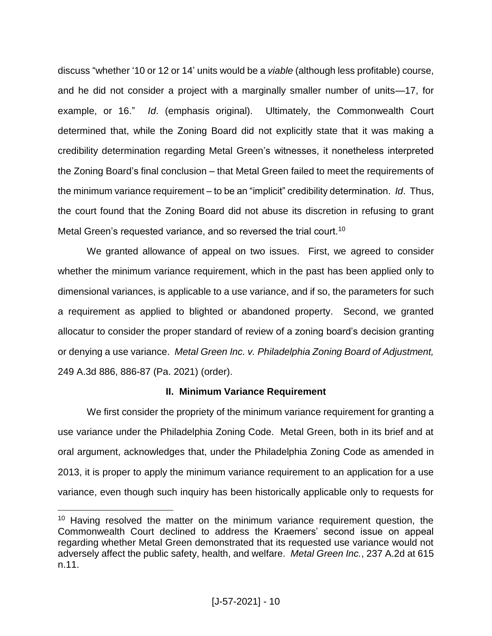discuss "whether '10 or 12 or 14' units would be a *viable* (although less profitable) course, and he did not consider a project with a marginally smaller number of units—17, for example, or 16." *Id*. (emphasis original). Ultimately, the Commonwealth Court determined that, while the Zoning Board did not explicitly state that it was making a credibility determination regarding Metal Green's witnesses, it nonetheless interpreted the Zoning Board's final conclusion – that Metal Green failed to meet the requirements of the minimum variance requirement – to be an "implicit" credibility determination. *Id*. Thus, the court found that the Zoning Board did not abuse its discretion in refusing to grant Metal Green's requested variance, and so reversed the trial court.<sup>10</sup>

We granted allowance of appeal on two issues. First, we agreed to consider whether the minimum variance requirement, which in the past has been applied only to dimensional variances, is applicable to a use variance, and if so, the parameters for such a requirement as applied to blighted or abandoned property. Second, we granted allocatur to consider the proper standard of review of a zoning board's decision granting or denying a use variance. *Metal Green Inc. v. Philadelphia Zoning Board of Adjustment,* 249 A.3d 886, 886-87 (Pa. 2021) (order).

#### **II. Minimum Variance Requirement**

We first consider the propriety of the minimum variance requirement for granting a use variance under the Philadelphia Zoning Code. Metal Green, both in its brief and at oral argument, acknowledges that, under the Philadelphia Zoning Code as amended in 2013, it is proper to apply the minimum variance requirement to an application for a use variance, even though such inquiry has been historically applicable only to requests for

<sup>&</sup>lt;sup>10</sup> Having resolved the matter on the minimum variance requirement question, the Commonwealth Court declined to address the Kraemers' second issue on appeal regarding whether Metal Green demonstrated that its requested use variance would not adversely affect the public safety, health, and welfare. *Metal Green Inc.*, 237 A.2d at 615 n.11.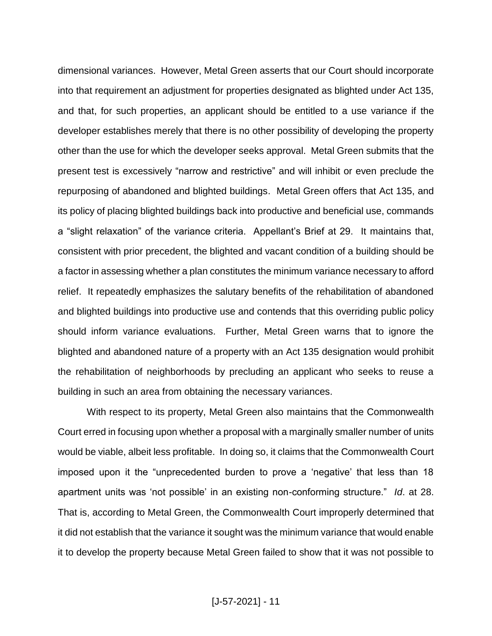dimensional variances. However, Metal Green asserts that our Court should incorporate into that requirement an adjustment for properties designated as blighted under Act 135, and that, for such properties, an applicant should be entitled to a use variance if the developer establishes merely that there is no other possibility of developing the property other than the use for which the developer seeks approval. Metal Green submits that the present test is excessively "narrow and restrictive" and will inhibit or even preclude the repurposing of abandoned and blighted buildings. Metal Green offers that Act 135, and its policy of placing blighted buildings back into productive and beneficial use, commands a "slight relaxation" of the variance criteria. Appellant's Brief at 29. It maintains that, consistent with prior precedent, the blighted and vacant condition of a building should be a factor in assessing whether a plan constitutes the minimum variance necessary to afford relief. It repeatedly emphasizes the salutary benefits of the rehabilitation of abandoned and blighted buildings into productive use and contends that this overriding public policy should inform variance evaluations. Further, Metal Green warns that to ignore the blighted and abandoned nature of a property with an Act 135 designation would prohibit the rehabilitation of neighborhoods by precluding an applicant who seeks to reuse a building in such an area from obtaining the necessary variances.

With respect to its property, Metal Green also maintains that the Commonwealth Court erred in focusing upon whether a proposal with a marginally smaller number of units would be viable, albeit less profitable. In doing so, it claims that the Commonwealth Court imposed upon it the "unprecedented burden to prove a 'negative' that less than 18 apartment units was 'not possible' in an existing non-conforming structure." *Id*. at 28. That is, according to Metal Green, the Commonwealth Court improperly determined that it did not establish that the variance it sought was the minimum variance that would enable it to develop the property because Metal Green failed to show that it was not possible to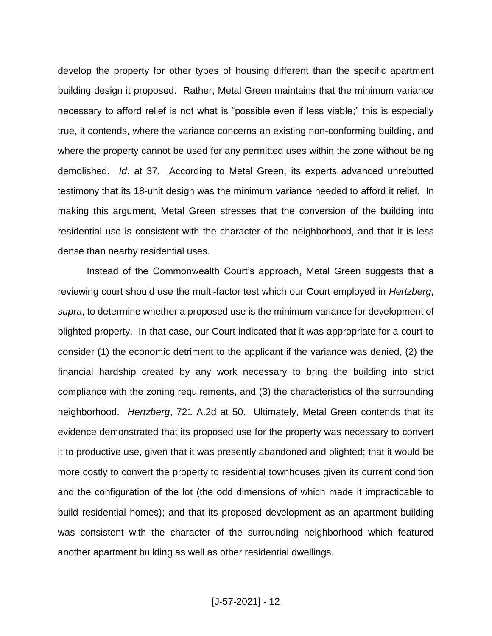develop the property for other types of housing different than the specific apartment building design it proposed. Rather, Metal Green maintains that the minimum variance necessary to afford relief is not what is "possible even if less viable;" this is especially true, it contends, where the variance concerns an existing non-conforming building, and where the property cannot be used for any permitted uses within the zone without being demolished. *Id*. at 37. According to Metal Green, its experts advanced unrebutted testimony that its 18-unit design was the minimum variance needed to afford it relief. In making this argument, Metal Green stresses that the conversion of the building into residential use is consistent with the character of the neighborhood, and that it is less dense than nearby residential uses.

Instead of the Commonwealth Court's approach, Metal Green suggests that a reviewing court should use the multi-factor test which our Court employed in *Hertzberg*, *supra*, to determine whether a proposed use is the minimum variance for development of blighted property. In that case, our Court indicated that it was appropriate for a court to consider (1) the economic detriment to the applicant if the variance was denied, (2) the financial hardship created by any work necessary to bring the building into strict compliance with the zoning requirements, and (3) the characteristics of the surrounding neighborhood. *Hertzberg*, 721 A.2d at 50. Ultimately, Metal Green contends that its evidence demonstrated that its proposed use for the property was necessary to convert it to productive use, given that it was presently abandoned and blighted; that it would be more costly to convert the property to residential townhouses given its current condition and the configuration of the lot (the odd dimensions of which made it impracticable to build residential homes); and that its proposed development as an apartment building was consistent with the character of the surrounding neighborhood which featured another apartment building as well as other residential dwellings.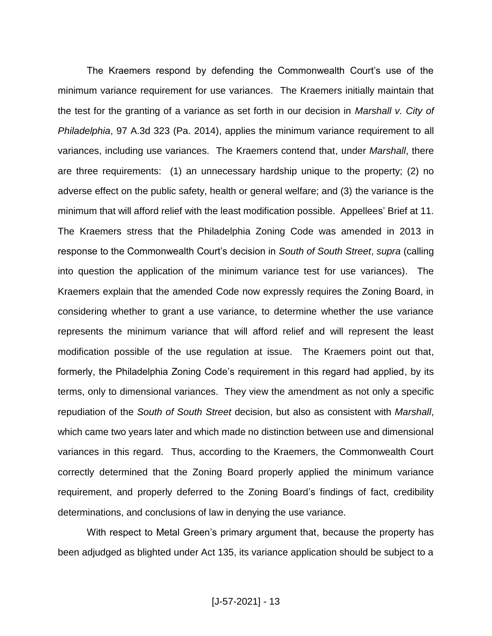The Kraemers respond by defending the Commonwealth Court's use of the minimum variance requirement for use variances. The Kraemers initially maintain that the test for the granting of a variance as set forth in our decision in *Marshall v. City of Philadelphia*, 97 A.3d 323 (Pa. 2014), applies the minimum variance requirement to all variances, including use variances. The Kraemers contend that, under *Marshall*, there are three requirements: (1) an unnecessary hardship unique to the property; (2) no adverse effect on the public safety, health or general welfare; and (3) the variance is the minimum that will afford relief with the least modification possible. Appellees' Brief at 11. The Kraemers stress that the Philadelphia Zoning Code was amended in 2013 in response to the Commonwealth Court's decision in *South of South Street*, *supra* (calling into question the application of the minimum variance test for use variances). The Kraemers explain that the amended Code now expressly requires the Zoning Board, in considering whether to grant a use variance, to determine whether the use variance represents the minimum variance that will afford relief and will represent the least modification possible of the use regulation at issue. The Kraemers point out that, formerly, the Philadelphia Zoning Code's requirement in this regard had applied, by its terms, only to dimensional variances. They view the amendment as not only a specific repudiation of the *South of South Street* decision, but also as consistent with *Marshall*, which came two years later and which made no distinction between use and dimensional variances in this regard. Thus, according to the Kraemers, the Commonwealth Court correctly determined that the Zoning Board properly applied the minimum variance requirement, and properly deferred to the Zoning Board's findings of fact, credibility determinations, and conclusions of law in denying the use variance.

With respect to Metal Green's primary argument that, because the property has been adjudged as blighted under Act 135, its variance application should be subject to a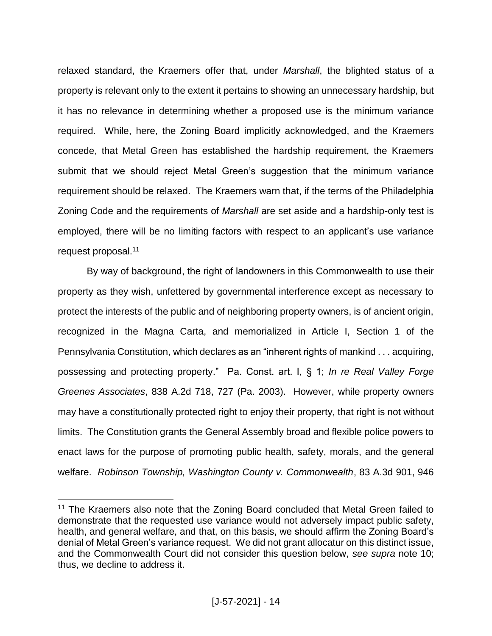relaxed standard, the Kraemers offer that, under *Marshall*, the blighted status of a property is relevant only to the extent it pertains to showing an unnecessary hardship, but it has no relevance in determining whether a proposed use is the minimum variance required. While, here, the Zoning Board implicitly acknowledged, and the Kraemers concede, that Metal Green has established the hardship requirement, the Kraemers submit that we should reject Metal Green's suggestion that the minimum variance requirement should be relaxed. The Kraemers warn that, if the terms of the Philadelphia Zoning Code and the requirements of *Marshall* are set aside and a hardship-only test is employed, there will be no limiting factors with respect to an applicant's use variance request proposal. 11

By way of background, the right of landowners in this Commonwealth to use their property as they wish, unfettered by governmental interference except as necessary to protect the interests of the public and of neighboring property owners, is of ancient origin, recognized in the Magna Carta, and memorialized in Article I, Section 1 of the Pennsylvania Constitution, which declares as an "inherent rights of mankind . . . acquiring, possessing and protecting property." Pa. Const. art. I, § 1; *In re Real Valley Forge Greenes Associates*, 838 A.2d 718, 727 (Pa. 2003). However, while property owners may have a constitutionally protected right to enjoy their property, that right is not without limits. The Constitution grants the General Assembly broad and flexible police powers to enact laws for the purpose of promoting public health, safety, morals, and the general welfare. *Robinson Township, Washington County v. Commonwealth*, 83 A.3d 901, 946

<sup>&</sup>lt;sup>11</sup> The Kraemers also note that the Zoning Board concluded that Metal Green failed to demonstrate that the requested use variance would not adversely impact public safety, health, and general welfare, and that, on this basis, we should affirm the Zoning Board's denial of Metal Green's variance request. We did not grant allocatur on this distinct issue, and the Commonwealth Court did not consider this question below, *see supra* note 10; thus, we decline to address it.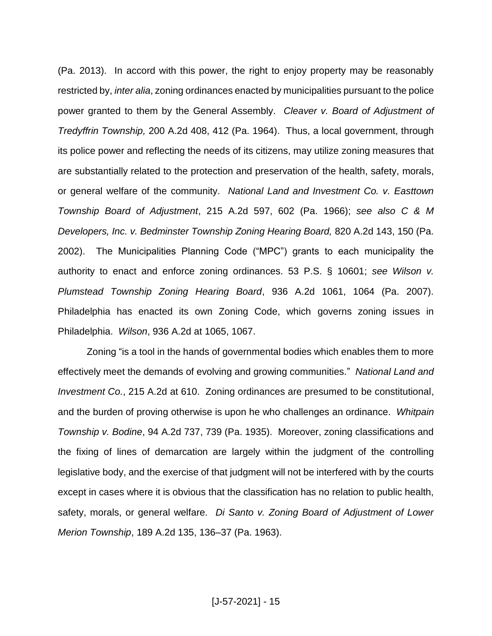(Pa. 2013). In accord with this power, the right to enjoy property may be reasonably restricted by, *inter alia*, zoning ordinances enacted by municipalities pursuant to the police power granted to them by the General Assembly. *Cleaver v. Board of Adjustment of Tredyffrin Township,* 200 A.2d 408, 412 (Pa. 1964). Thus, a local government, through its police power and reflecting the needs of its citizens, may utilize zoning measures that are substantially related to the protection and preservation of the health, safety, morals, or general welfare of the community. *National Land and Investment Co. v. Easttown Township Board of Adjustment*, 215 A.2d 597, 602 (Pa. 1966); *see also C & M Developers, Inc. v. Bedminster Township Zoning Hearing Board,* 820 A.2d 143, 150 (Pa. 2002). The Municipalities Planning Code ("MPC") grants to each municipality the authority to enact and enforce zoning ordinances. 53 P.S. § 10601; *see Wilson v. Plumstead Township Zoning Hearing Board*, 936 A.2d 1061, 1064 (Pa. 2007). Philadelphia has enacted its own Zoning Code, which governs zoning issues in Philadelphia. *Wilson*, 936 A.2d at 1065, 1067.

Zoning "is a tool in the hands of governmental bodies which enables them to more effectively meet the demands of evolving and growing communities." *National Land and Investment Co.*, 215 A.2d at 610. Zoning ordinances are presumed to be constitutional, and the burden of proving otherwise is upon he who challenges an ordinance. *Whitpain Township v. Bodine*, 94 A.2d 737, 739 (Pa. 1935). Moreover, zoning classifications and the fixing of lines of demarcation are largely within the judgment of the controlling legislative body, and the exercise of that judgment will not be interfered with by the courts except in cases where it is obvious that the classification has no relation to public health, safety, morals, or general welfare. *Di Santo v. Zoning Board of Adjustment of Lower Merion Township*, 189 A.2d 135, 136–37 (Pa. 1963).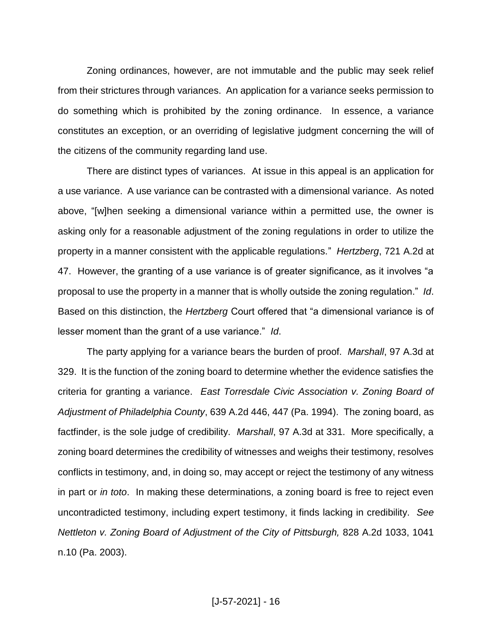Zoning ordinances, however, are not immutable and the public may seek relief from their strictures through variances. An application for a variance seeks permission to do something which is prohibited by the zoning ordinance. In essence, a variance constitutes an exception, or an overriding of legislative judgment concerning the will of the citizens of the community regarding land use.

There are distinct types of variances. At issue in this appeal is an application for a use variance. A use variance can be contrasted with a dimensional variance. As noted above, "[w]hen seeking a dimensional variance within a permitted use, the owner is asking only for a reasonable adjustment of the zoning regulations in order to utilize the property in a manner consistent with the applicable regulations." *Hertzberg*, 721 A.2d at 47. However, the granting of a use variance is of greater significance, as it involves "a proposal to use the property in a manner that is wholly outside the zoning regulation." *Id*. Based on this distinction, the *Hertzberg* Court offered that "a dimensional variance is of lesser moment than the grant of a use variance." *Id*.

The party applying for a variance bears the burden of proof. *Marshall*, 97 A.3d at 329. It is the function of the zoning board to determine whether the evidence satisfies the criteria for granting a variance. *East Torresdale Civic Association v. Zoning Board of Adjustment of Philadelphia County*, 639 A.2d 446, 447 (Pa. 1994). The zoning board, as factfinder, is the sole judge of credibility. *Marshall*, 97 A.3d at 331. More specifically, a zoning board determines the credibility of witnesses and weighs their testimony, resolves conflicts in testimony, and, in doing so, may accept or reject the testimony of any witness in part or *in toto*. In making these determinations, a zoning board is free to reject even uncontradicted testimony, including expert testimony, it finds lacking in credibility. *See Nettleton v. Zoning Board of Adjustment of the City of Pittsburgh,* 828 A.2d 1033, 1041 n.10 (Pa. 2003).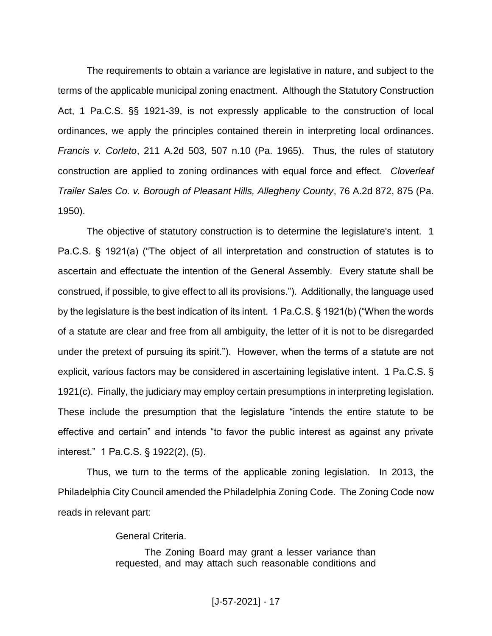The requirements to obtain a variance are legislative in nature, and subject to the terms of the applicable municipal zoning enactment. Although the Statutory Construction Act, 1 Pa.C.S. §§ 1921-39, is not expressly applicable to the construction of local ordinances, we apply the principles contained therein in interpreting local ordinances. *Francis v. Corleto*, 211 A.2d 503, 507 n.10 (Pa. 1965). Thus, the rules of statutory construction are applied to zoning ordinances with equal force and effect. *Cloverleaf Trailer Sales Co. v. Borough of Pleasant Hills, Allegheny County*, 76 A.2d 872, 875 (Pa. 1950).

The objective of statutory construction is to determine the legislature's intent. 1 Pa.C.S. § 1921(a) ("The object of all interpretation and construction of statutes is to ascertain and effectuate the intention of the General Assembly. Every statute shall be construed, if possible, to give effect to all its provisions."). Additionally, the language used by the legislature is the best indication of its intent. 1 Pa.C.S. § 1921(b) ("When the words of a statute are clear and free from all ambiguity, the letter of it is not to be disregarded under the pretext of pursuing its spirit."). However, when the terms of a statute are not explicit, various factors may be considered in ascertaining legislative intent. 1 Pa.C.S. § 1921(c). Finally, the judiciary may employ certain presumptions in interpreting legislation. These include the presumption that the legislature "intends the entire statute to be effective and certain" and intends "to favor the public interest as against any private interest." 1 Pa.C.S. § 1922(2), (5).

Thus, we turn to the terms of the applicable zoning legislation. In 2013, the Philadelphia City Council amended the Philadelphia Zoning Code. The Zoning Code now reads in relevant part:

General Criteria.

The Zoning Board may grant a lesser variance than requested, and may attach such reasonable conditions and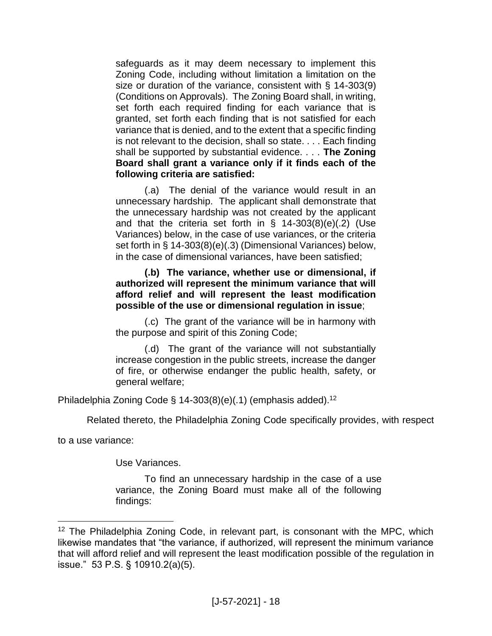safeguards as it may deem necessary to implement this Zoning Code, including without limitation a limitation on the size or duration of the variance, consistent with § 14-303(9) (Conditions on Approvals). The Zoning Board shall, in writing, set forth each required finding for each variance that is granted, set forth each finding that is not satisfied for each variance that is denied, and to the extent that a specific finding is not relevant to the decision, shall so state. . . . Each finding shall be supported by substantial evidence. . . . **The Zoning Board shall grant a variance only if it finds each of the following criteria are satisfied:**

(.a) The denial of the variance would result in an unnecessary hardship. The applicant shall demonstrate that the unnecessary hardship was not created by the applicant and that the criteria set forth in § 14-303(8)(e)(.2) (Use Variances) below, in the case of use variances, or the criteria set forth in § 14-303(8)(e)(.3) (Dimensional Variances) below, in the case of dimensional variances, have been satisfied;

**(.b) The variance, whether use or dimensional, if authorized will represent the minimum variance that will afford relief and will represent the least modification possible of the use or dimensional regulation in issue**;

(.c) The grant of the variance will be in harmony with the purpose and spirit of this Zoning Code;

(.d) The grant of the variance will not substantially increase congestion in the public streets, increase the danger of fire, or otherwise endanger the public health, safety, or general welfare;

Philadelphia Zoning Code § 14-303(8)(e)(.1) (emphasis added).<sup>12</sup>

Related thereto, the Philadelphia Zoning Code specifically provides, with respect

to a use variance:

 $\overline{a}$ 

Use Variances.

To find an unnecessary hardship in the case of a use variance, the Zoning Board must make all of the following findings:

<sup>&</sup>lt;sup>12</sup> The Philadelphia Zoning Code, in relevant part, is consonant with the MPC, which likewise mandates that "the variance, if authorized, will represent the minimum variance that will afford relief and will represent the least modification possible of the regulation in issue." 53 P.S. § 10910.2(a)(5).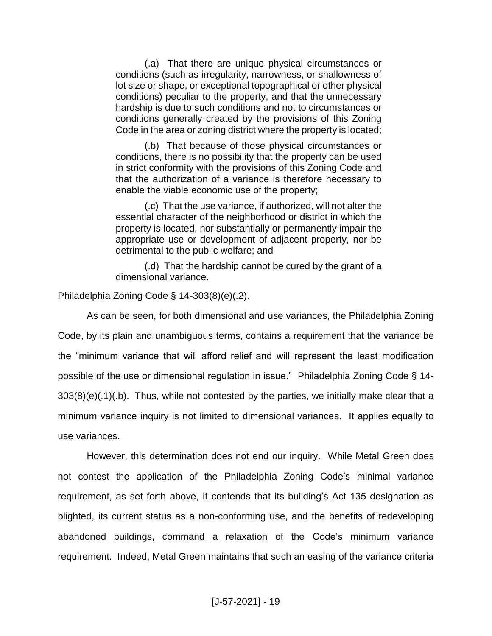(.a) That there are unique physical circumstances or conditions (such as irregularity, narrowness, or shallowness of lot size or shape, or exceptional topographical or other physical conditions) peculiar to the property, and that the unnecessary hardship is due to such conditions and not to circumstances or conditions generally created by the provisions of this Zoning Code in the area or zoning district where the property is located;

(.b) That because of those physical circumstances or conditions, there is no possibility that the property can be used in strict conformity with the provisions of this Zoning Code and that the authorization of a variance is therefore necessary to enable the viable economic use of the property;

(.c) That the use variance, if authorized, will not alter the essential character of the neighborhood or district in which the property is located, nor substantially or permanently impair the appropriate use or development of adjacent property, nor be detrimental to the public welfare; and

(.d) That the hardship cannot be cured by the grant of a dimensional variance.

Philadelphia Zoning Code § 14-303(8)(e)(.2).

As can be seen, for both dimensional and use variances, the Philadelphia Zoning Code, by its plain and unambiguous terms, contains a requirement that the variance be the "minimum variance that will afford relief and will represent the least modification possible of the use or dimensional regulation in issue." Philadelphia Zoning Code § 14- 303(8)(e)(.1)(.b). Thus, while not contested by the parties, we initially make clear that a minimum variance inquiry is not limited to dimensional variances. It applies equally to use variances.

However, this determination does not end our inquiry. While Metal Green does not contest the application of the Philadelphia Zoning Code's minimal variance requirement, as set forth above, it contends that its building's Act 135 designation as blighted, its current status as a non-conforming use, and the benefits of redeveloping abandoned buildings, command a relaxation of the Code's minimum variance requirement. Indeed, Metal Green maintains that such an easing of the variance criteria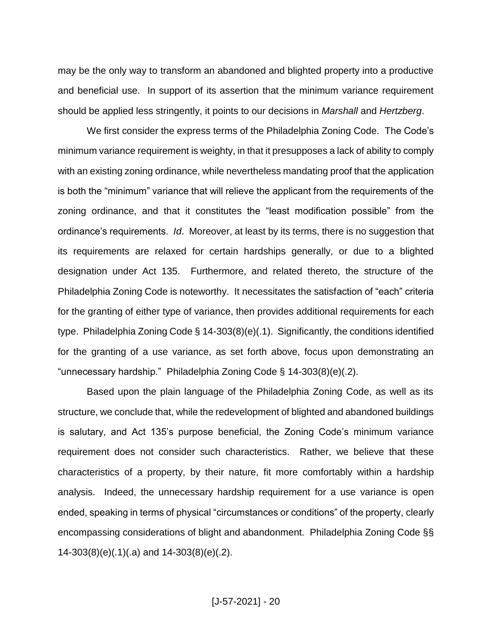may be the only way to transform an abandoned and blighted property into a productive and beneficial use. In support of its assertion that the minimum variance requirement should be applied less stringently, it points to our decisions in *Marshall* and *Hertzberg*.

We first consider the express terms of the Philadelphia Zoning Code. The Code's minimum variance requirement is weighty, in that it presupposes a lack of ability to comply with an existing zoning ordinance, while nevertheless mandating proof that the application is both the "minimum" variance that will relieve the applicant from the requirements of the zoning ordinance, and that it constitutes the "least modification possible" from the ordinance's requirements. *Id*. Moreover, at least by its terms, there is no suggestion that its requirements are relaxed for certain hardships generally, or due to a blighted designation under Act 135. Furthermore, and related thereto, the structure of the Philadelphia Zoning Code is noteworthy. It necessitates the satisfaction of "each" criteria for the granting of either type of variance, then provides additional requirements for each type. Philadelphia Zoning Code § 14-303(8)(e)(.1). Significantly, the conditions identified for the granting of a use variance, as set forth above, focus upon demonstrating an "unnecessary hardship." Philadelphia Zoning Code § 14-303(8)(e)(.2).

Based upon the plain language of the Philadelphia Zoning Code, as well as its structure, we conclude that, while the redevelopment of blighted and abandoned buildings is salutary, and Act 135's purpose beneficial, the Zoning Code's minimum variance requirement does not consider such characteristics. Rather, we believe that these characteristics of a property, by their nature, fit more comfortably within a hardship analysis. Indeed, the unnecessary hardship requirement for a use variance is open ended, speaking in terms of physical "circumstances or conditions" of the property, clearly encompassing considerations of blight and abandonment. Philadelphia Zoning Code §§ 14-303(8)(e)(.1)(.a) and 14-303(8)(e)(.2).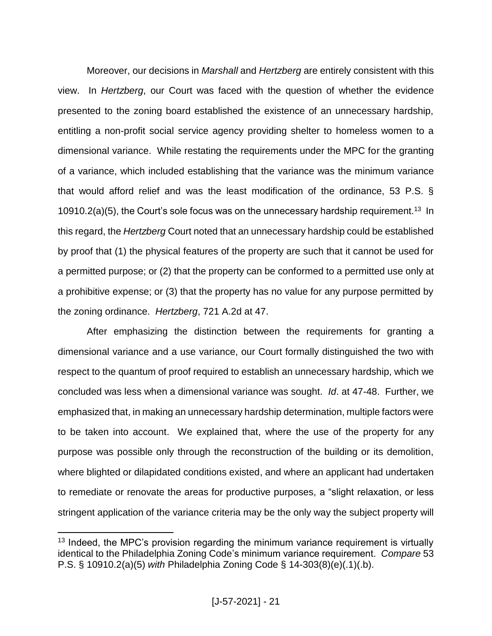Moreover, our decisions in *Marshall* and *Hertzberg* are entirely consistent with this view. In *Hertzberg*, our Court was faced with the question of whether the evidence presented to the zoning board established the existence of an unnecessary hardship, entitling a non-profit social service agency providing shelter to homeless women to a dimensional variance. While restating the requirements under the MPC for the granting of a variance, which included establishing that the variance was the minimum variance that would afford relief and was the least modification of the ordinance, 53 P.S. § 10910.2(a)(5), the Court's sole focus was on the unnecessary hardship requirement.<sup>13</sup> In this regard, the *Hertzberg* Court noted that an unnecessary hardship could be established by proof that (1) the physical features of the property are such that it cannot be used for a permitted purpose; or (2) that the property can be conformed to a permitted use only at a prohibitive expense; or (3) that the property has no value for any purpose permitted by the zoning ordinance. *Hertzberg*, 721 A.2d at 47.

After emphasizing the distinction between the requirements for granting a dimensional variance and a use variance, our Court formally distinguished the two with respect to the quantum of proof required to establish an unnecessary hardship, which we concluded was less when a dimensional variance was sought. *Id*. at 47-48. Further, we emphasized that, in making an unnecessary hardship determination, multiple factors were to be taken into account. We explained that, where the use of the property for any purpose was possible only through the reconstruction of the building or its demolition, where blighted or dilapidated conditions existed, and where an applicant had undertaken to remediate or renovate the areas for productive purposes, a "slight relaxation, or less stringent application of the variance criteria may be the only way the subject property will

 $13$  Indeed, the MPC's provision regarding the minimum variance requirement is virtually identical to the Philadelphia Zoning Code's minimum variance requirement. *Compare* 53 P.S. § 10910.2(a)(5) *with* Philadelphia Zoning Code § 14-303(8)(e)(.1)(.b).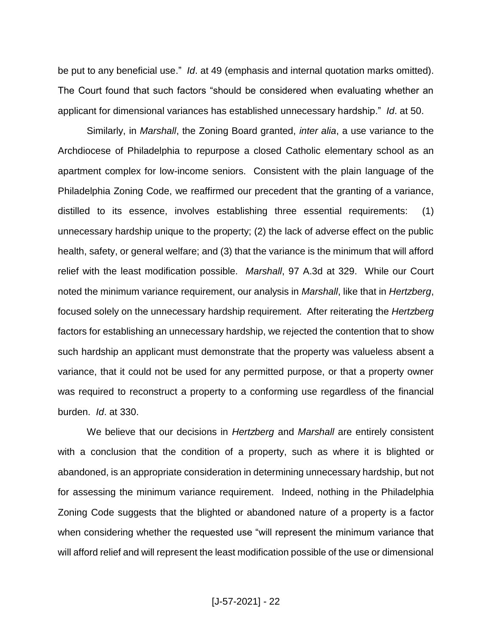be put to any beneficial use." *Id*. at 49 (emphasis and internal quotation marks omitted). The Court found that such factors "should be considered when evaluating whether an applicant for dimensional variances has established unnecessary hardship." *Id*. at 50.

Similarly, in *Marshall*, the Zoning Board granted, *inter alia*, a use variance to the Archdiocese of Philadelphia to repurpose a closed Catholic elementary school as an apartment complex for low-income seniors. Consistent with the plain language of the Philadelphia Zoning Code, we reaffirmed our precedent that the granting of a variance, distilled to its essence, involves establishing three essential requirements: (1) unnecessary hardship unique to the property; (2) the lack of adverse effect on the public health, safety, or general welfare; and (3) that the variance is the minimum that will afford relief with the least modification possible. *Marshall*, 97 A.3d at 329. While our Court noted the minimum variance requirement, our analysis in *Marshall*, like that in *Hertzberg*, focused solely on the unnecessary hardship requirement. After reiterating the *Hertzberg* factors for establishing an unnecessary hardship, we rejected the contention that to show such hardship an applicant must demonstrate that the property was valueless absent a variance, that it could not be used for any permitted purpose, or that a property owner was required to reconstruct a property to a conforming use regardless of the financial burden. *Id*. at 330.

We believe that our decisions in *Hertzberg* and *Marshall* are entirely consistent with a conclusion that the condition of a property, such as where it is blighted or abandoned, is an appropriate consideration in determining unnecessary hardship, but not for assessing the minimum variance requirement. Indeed, nothing in the Philadelphia Zoning Code suggests that the blighted or abandoned nature of a property is a factor when considering whether the requested use "will represent the minimum variance that will afford relief and will represent the least modification possible of the use or dimensional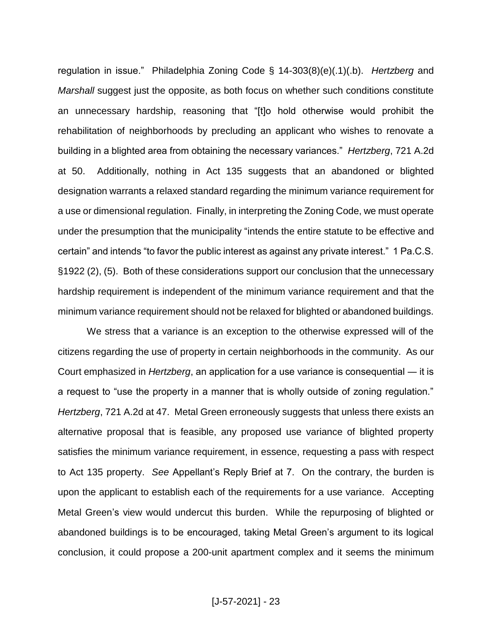regulation in issue." Philadelphia Zoning Code § 14-303(8)(e)(.1)(.b). *Hertzberg* and *Marshall* suggest just the opposite, as both focus on whether such conditions constitute an unnecessary hardship, reasoning that "[t]o hold otherwise would prohibit the rehabilitation of neighborhoods by precluding an applicant who wishes to renovate a building in a blighted area from obtaining the necessary variances." *Hertzberg*, 721 A.2d at 50. Additionally, nothing in Act 135 suggests that an abandoned or blighted designation warrants a relaxed standard regarding the minimum variance requirement for a use or dimensional regulation. Finally, in interpreting the Zoning Code, we must operate under the presumption that the municipality "intends the entire statute to be effective and certain" and intends "to favor the public interest as against any private interest." 1 Pa.C.S. §1922 (2), (5). Both of these considerations support our conclusion that the unnecessary hardship requirement is independent of the minimum variance requirement and that the minimum variance requirement should not be relaxed for blighted or abandoned buildings.

We stress that a variance is an exception to the otherwise expressed will of the citizens regarding the use of property in certain neighborhoods in the community. As our Court emphasized in *Hertzberg*, an application for a use variance is consequential ― it is a request to "use the property in a manner that is wholly outside of zoning regulation." *Hertzberg*, 721 A.2d at 47. Metal Green erroneously suggests that unless there exists an alternative proposal that is feasible, any proposed use variance of blighted property satisfies the minimum variance requirement, in essence, requesting a pass with respect to Act 135 property. *See* Appellant's Reply Brief at 7. On the contrary, the burden is upon the applicant to establish each of the requirements for a use variance. Accepting Metal Green's view would undercut this burden. While the repurposing of blighted or abandoned buildings is to be encouraged, taking Metal Green's argument to its logical conclusion, it could propose a 200-unit apartment complex and it seems the minimum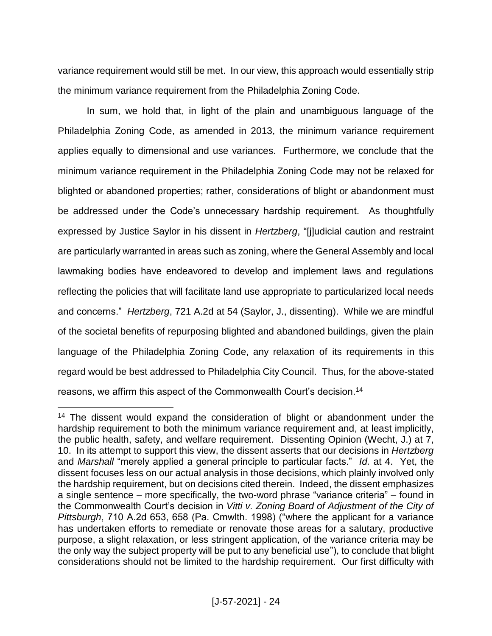variance requirement would still be met. In our view, this approach would essentially strip the minimum variance requirement from the Philadelphia Zoning Code.

In sum, we hold that, in light of the plain and unambiguous language of the Philadelphia Zoning Code, as amended in 2013, the minimum variance requirement applies equally to dimensional and use variances. Furthermore, we conclude that the minimum variance requirement in the Philadelphia Zoning Code may not be relaxed for blighted or abandoned properties; rather, considerations of blight or abandonment must be addressed under the Code's unnecessary hardship requirement. As thoughtfully expressed by Justice Saylor in his dissent in *Hertzberg*, "[j]udicial caution and restraint are particularly warranted in areas such as zoning, where the General Assembly and local lawmaking bodies have endeavored to develop and implement laws and regulations reflecting the policies that will facilitate land use appropriate to particularized local needs and concerns." *Hertzberg*, 721 A.2d at 54 (Saylor, J., dissenting). While we are mindful of the societal benefits of repurposing blighted and abandoned buildings, given the plain language of the Philadelphia Zoning Code, any relaxation of its requirements in this regard would be best addressed to Philadelphia City Council. Thus, for the above-stated reasons, we affirm this aspect of the Commonwealth Court's decision.<sup>14</sup>

<sup>&</sup>lt;sup>14</sup> The dissent would expand the consideration of blight or abandonment under the hardship requirement to both the minimum variance requirement and, at least implicitly, the public health, safety, and welfare requirement. Dissenting Opinion (Wecht, J.) at 7, 10. In its attempt to support this view, the dissent asserts that our decisions in *Hertzberg* and *Marshall* "merely applied a general principle to particular facts." *Id.* at 4. Yet, the dissent focuses less on our actual analysis in those decisions, which plainly involved only the hardship requirement, but on decisions cited therein. Indeed, the dissent emphasizes a single sentence – more specifically, the two-word phrase "variance criteria" – found in the Commonwealth Court's decision in *Vitti v. Zoning Board of Adjustment of the City of Pittsburgh*, 710 A.2d 653, 658 (Pa. Cmwlth. 1998) ("where the applicant for a variance has undertaken efforts to remediate or renovate those areas for a salutary, productive purpose, a slight relaxation, or less stringent application, of the variance criteria may be the only way the subject property will be put to any beneficial use"), to conclude that blight considerations should not be limited to the hardship requirement. Our first difficulty with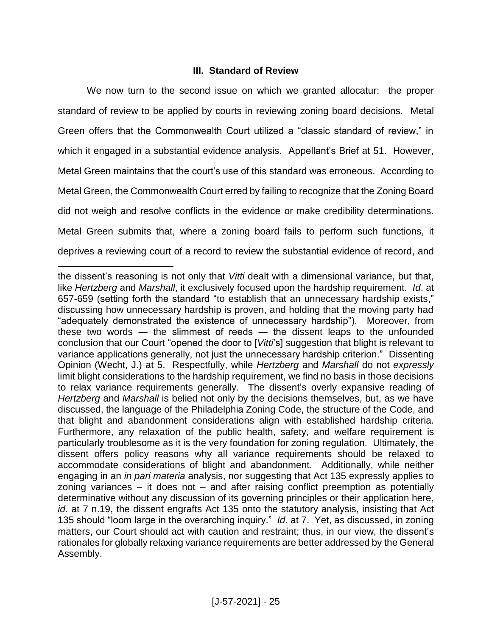## **III. Standard of Review**

We now turn to the second issue on which we granted allocatur: the proper standard of review to be applied by courts in reviewing zoning board decisions. Metal Green offers that the Commonwealth Court utilized a "classic standard of review," in which it engaged in a substantial evidence analysis. Appellant's Brief at 51. However, Metal Green maintains that the court's use of this standard was erroneous. According to Metal Green, the Commonwealth Court erred by failing to recognize that the Zoning Board did not weigh and resolve conflicts in the evidence or make credibility determinations. Metal Green submits that, where a zoning board fails to perform such functions, it deprives a reviewing court of a record to review the substantial evidence of record, and

the dissent's reasoning is not only that *Vitti* dealt with a dimensional variance, but that, like *Hertzberg* and *Marshall*, it exclusively focused upon the hardship requirement. *Id*. at 657-659 (setting forth the standard "to establish that an unnecessary hardship exists," discussing how unnecessary hardship is proven, and holding that the moving party had "adequately demonstrated the existence of unnecessary hardship"). Moreover, from these two words ― the slimmest of reeds ― the dissent leaps to the unfounded conclusion that our Court "opened the door to [*Vitti*'s] suggestion that blight is relevant to variance applications generally, not just the unnecessary hardship criterion." Dissenting Opinion (Wecht, J.) at 5. Respectfully, while *Hertzberg* and *Marshall* do not *expressly* limit blight considerations to the hardship requirement, we find no basis in those decisions to relax variance requirements generally. The dissent's overly expansive reading of *Hertzberg* and *Marshall* is belied not only by the decisions themselves, but, as we have discussed, the language of the Philadelphia Zoning Code, the structure of the Code, and that blight and abandonment considerations align with established hardship criteria. Furthermore, any relaxation of the public health, safety, and welfare requirement is particularly troublesome as it is the very foundation for zoning regulation. Ultimately, the dissent offers policy reasons why all variance requirements should be relaxed to accommodate considerations of blight and abandonment. Additionally, while neither engaging in an *in pari materia* analysis, nor suggesting that Act 135 expressly applies to zoning variances – it does not – and after raising conflict preemption as potentially determinative without any discussion of its governing principles or their application here, *id.* at 7 n.19, the dissent engrafts Act 135 onto the statutory analysis, insisting that Act 135 should "loom large in the overarching inquiry." *Id.* at 7. Yet, as discussed, in zoning matters, our Court should act with caution and restraint; thus, in our view, the dissent's rationales for globally relaxing variance requirements are better addressed by the General Assembly.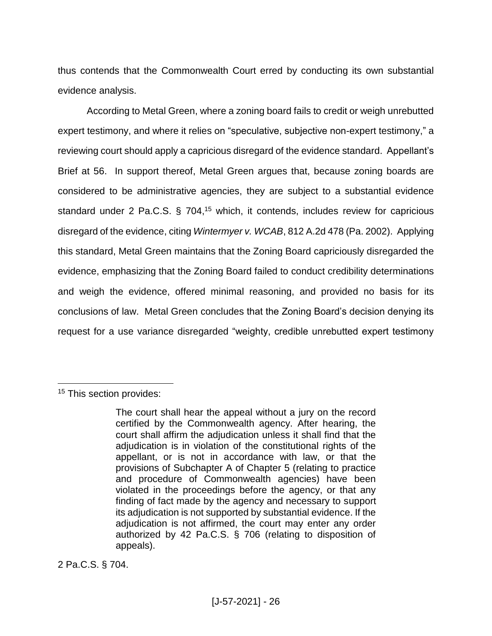thus contends that the Commonwealth Court erred by conducting its own substantial evidence analysis.

According to Metal Green, where a zoning board fails to credit or weigh unrebutted expert testimony, and where it relies on "speculative, subjective non-expert testimony," a reviewing court should apply a capricious disregard of the evidence standard. Appellant's Brief at 56. In support thereof, Metal Green argues that, because zoning boards are considered to be administrative agencies, they are subject to a substantial evidence standard under 2 Pa.C.S. § 704,<sup>15</sup> which, it contends, includes review for capricious disregard of the evidence, citing *Wintermyer v. WCAB*, 812 A.2d 478 (Pa. 2002). Applying this standard, Metal Green maintains that the Zoning Board capriciously disregarded the evidence, emphasizing that the Zoning Board failed to conduct credibility determinations and weigh the evidence, offered minimal reasoning, and provided no basis for its conclusions of law. Metal Green concludes that the Zoning Board's decision denying its request for a use variance disregarded "weighty, credible unrebutted expert testimony

 $\overline{a}$ 

2 Pa.C.S. § 704.

<sup>&</sup>lt;sup>15</sup> This section provides:

The court shall hear the appeal without a jury on the record certified by the Commonwealth agency. After hearing, the court shall affirm the adjudication unless it shall find that the adjudication is in violation of the constitutional rights of the appellant, or is not in accordance with law, or that the provisions of Subchapter A of Chapter 5 (relating to practice and procedure of Commonwealth agencies) have been violated in the proceedings before the agency, or that any finding of fact made by the agency and necessary to support its adjudication is not supported by substantial evidence. If the adjudication is not affirmed, the court may enter any order authorized by 42 Pa.C.S. § 706 (relating to disposition of appeals).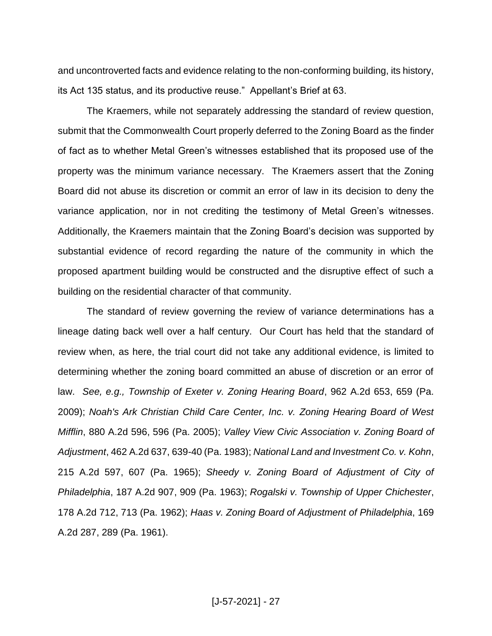and uncontroverted facts and evidence relating to the non-conforming building, its history, its Act 135 status, and its productive reuse." Appellant's Brief at 63.

The Kraemers, while not separately addressing the standard of review question, submit that the Commonwealth Court properly deferred to the Zoning Board as the finder of fact as to whether Metal Green's witnesses established that its proposed use of the property was the minimum variance necessary. The Kraemers assert that the Zoning Board did not abuse its discretion or commit an error of law in its decision to deny the variance application, nor in not crediting the testimony of Metal Green's witnesses. Additionally, the Kraemers maintain that the Zoning Board's decision was supported by substantial evidence of record regarding the nature of the community in which the proposed apartment building would be constructed and the disruptive effect of such a building on the residential character of that community.

The standard of review governing the review of variance determinations has a lineage dating back well over a half century. Our Court has held that the standard of review when, as here, the trial court did not take any additional evidence, is limited to determining whether the zoning board committed an abuse of discretion or an error of law. *See, e.g., Township of Exeter v. Zoning Hearing Board*, 962 A.2d 653, 659 (Pa. 2009); *Noah's Ark Christian Child Care Center, Inc. v. Zoning Hearing Board of West Mifflin*, 880 A.2d 596, 596 (Pa. 2005); *Valley View Civic Association v. Zoning Board of Adjustment*, 462 A.2d 637, 639-40 (Pa. 1983); *National Land and Investment Co. v. Kohn*, 215 A.2d 597, 607 (Pa. 1965); *Sheedy v. Zoning Board of Adjustment of City of Philadelphia*, 187 A.2d 907, 909 (Pa. 1963); *Rogalski v. Township of Upper Chichester*, 178 A.2d 712, 713 (Pa. 1962); *Haas v. Zoning Board of Adjustment of Philadelphia*, 169 A.2d 287, 289 (Pa. 1961).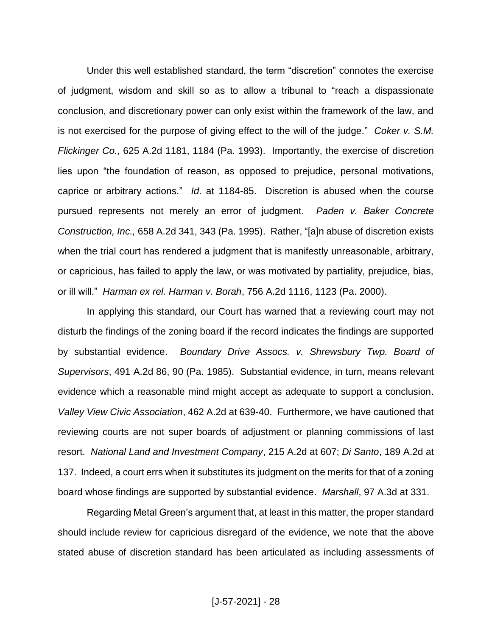Under this well established standard, the term "discretion" connotes the exercise of judgment, wisdom and skill so as to allow a tribunal to "reach a dispassionate conclusion, and discretionary power can only exist within the framework of the law, and is not exercised for the purpose of giving effect to the will of the judge." *Coker v. S.M. Flickinger Co.*, 625 A.2d 1181, 1184 (Pa. 1993). Importantly, the exercise of discretion lies upon "the foundation of reason, as opposed to prejudice, personal motivations, caprice or arbitrary actions." *Id*. at 1184-85. Discretion is abused when the course pursued represents not merely an error of judgment. *Paden v. Baker Concrete Construction, Inc.,* 658 A.2d 341, 343 (Pa. 1995). Rather, "[a]n abuse of discretion exists when the trial court has rendered a judgment that is manifestly unreasonable, arbitrary, or capricious, has failed to apply the law, or was motivated by partiality, prejudice, bias, or ill will." *Harman ex rel. Harman v. Borah*, 756 A.2d 1116, 1123 (Pa. 2000).

In applying this standard, our Court has warned that a reviewing court may not disturb the findings of the zoning board if the record indicates the findings are supported by substantial evidence. *Boundary Drive Assocs. v. Shrewsbury Twp. Board of Supervisors*, 491 A.2d 86, 90 (Pa. 1985). Substantial evidence, in turn, means relevant evidence which a reasonable mind might accept as adequate to support a conclusion. *Valley View Civic Association*, 462 A.2d at 639-40. Furthermore, we have cautioned that reviewing courts are not super boards of adjustment or planning commissions of last resort. *National Land and Investment Company*, 215 A.2d at 607; *Di Santo*, 189 A.2d at 137. Indeed, a court errs when it substitutes its judgment on the merits for that of a zoning board whose findings are supported by substantial evidence. *Marshall*, 97 A.3d at 331.

Regarding Metal Green's argument that, at least in this matter, the proper standard should include review for capricious disregard of the evidence, we note that the above stated abuse of discretion standard has been articulated as including assessments of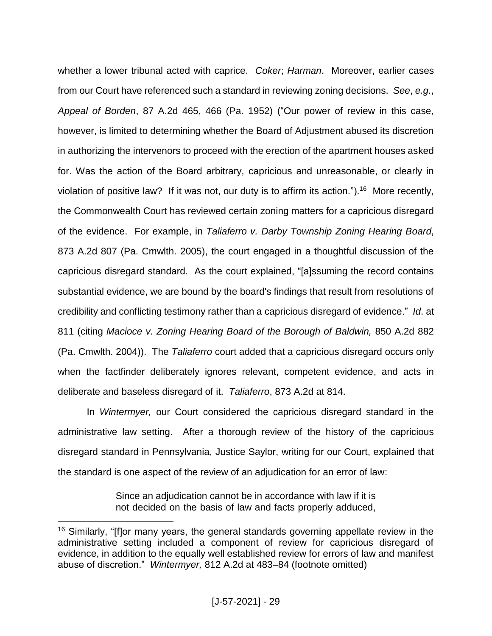whether a lower tribunal acted with caprice. *Coker*; *Harman*. Moreover, earlier cases from our Court have referenced such a standard in reviewing zoning decisions. *See*, *e.g.*, *Appeal of Borden*, 87 A.2d 465, 466 (Pa. 1952) ("Our power of review in this case, however, is limited to determining whether the Board of Adjustment abused its discretion in authorizing the intervenors to proceed with the erection of the apartment houses asked for. Was the action of the Board arbitrary, capricious and unreasonable, or clearly in violation of positive law? If it was not, our duty is to affirm its action.").<sup>16</sup> More recently, the Commonwealth Court has reviewed certain zoning matters for a capricious disregard of the evidence. For example, in *Taliaferro v. Darby Township Zoning Hearing Board*, 873 A.2d 807 (Pa. Cmwlth. 2005), the court engaged in a thoughtful discussion of the capricious disregard standard. As the court explained, "[a]ssuming the record contains substantial evidence, we are bound by the board's findings that result from resolutions of credibility and conflicting testimony rather than a capricious disregard of evidence." *Id*. at 811 (citing *Macioce v. Zoning Hearing Board of the Borough of Baldwin,* 850 A.2d 882 (Pa. Cmwlth. 2004)). The *Taliaferro* court added that a capricious disregard occurs only when the factfinder deliberately ignores relevant, competent evidence, and acts in deliberate and baseless disregard of it. *Taliaferro*, 873 A.2d at 814.

In *Wintermyer,* our Court considered the capricious disregard standard in the administrative law setting. After a thorough review of the history of the capricious disregard standard in Pennsylvania, Justice Saylor, writing for our Court, explained that the standard is one aspect of the review of an adjudication for an error of law:

> Since an adjudication cannot be in accordance with law if it is not decided on the basis of law and facts properly adduced,

<sup>&</sup>lt;sup>16</sup> Similarly, "[f]or many years, the general standards governing appellate review in the administrative setting included a component of review for capricious disregard of evidence, in addition to the equally well established review for errors of law and manifest abuse of discretion." *Wintermyer,* 812 A.2d at 483–84 (footnote omitted)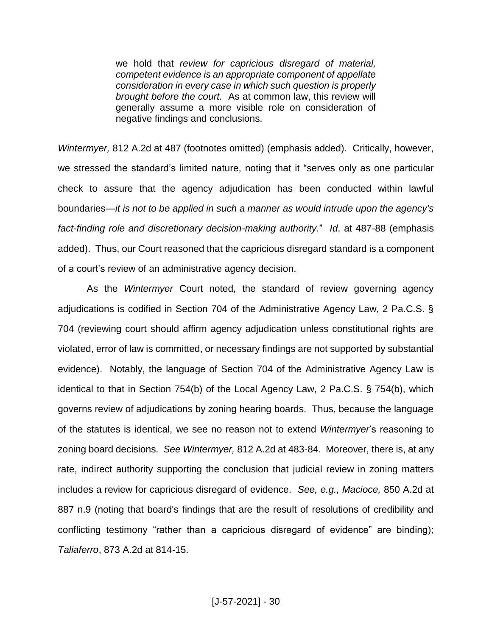we hold that *review for capricious disregard of material, competent evidence is an appropriate component of appellate consideration in every case in which such question is properly brought before the court.* As at common law, this review will generally assume a more visible role on consideration of negative findings and conclusions.

*Wintermyer,* 812 A.2d at 487 (footnotes omitted) (emphasis added). Critically, however, we stressed the standard's limited nature, noting that it "serves only as one particular check to assure that the agency adjudication has been conducted within lawful boundaries—*it is not to be applied in such a manner as would intrude upon the agency's fact-finding role and discretionary decision-making authority.*" *Id*. at 487-88 (emphasis added). Thus, our Court reasoned that the capricious disregard standard is a component of a court's review of an administrative agency decision.

As the *Wintermyer* Court noted, the standard of review governing agency adjudications is codified in Section 704 of the Administrative Agency Law, 2 Pa.C.S. § 704 (reviewing court should affirm agency adjudication unless constitutional rights are violated, error of law is committed, or necessary findings are not supported by substantial evidence). Notably, the language of Section 704 of the Administrative Agency Law is identical to that in Section 754(b) of the Local Agency Law, 2 Pa.C.S. § 754(b), which governs review of adjudications by zoning hearing boards. Thus, because the language of the statutes is identical, we see no reason not to extend *Wintermyer*'s reasoning to zoning board decisions. *See Wintermyer,* 812 A.2d at 483-84. Moreover, there is, at any rate, indirect authority supporting the conclusion that judicial review in zoning matters includes a review for capricious disregard of evidence. *See, e.g., Macioce,* 850 A.2d at 887 n.9 (noting that board's findings that are the result of resolutions of credibility and conflicting testimony "rather than a capricious disregard of evidence" are binding); *Taliaferro*, 873 A.2d at 814-15.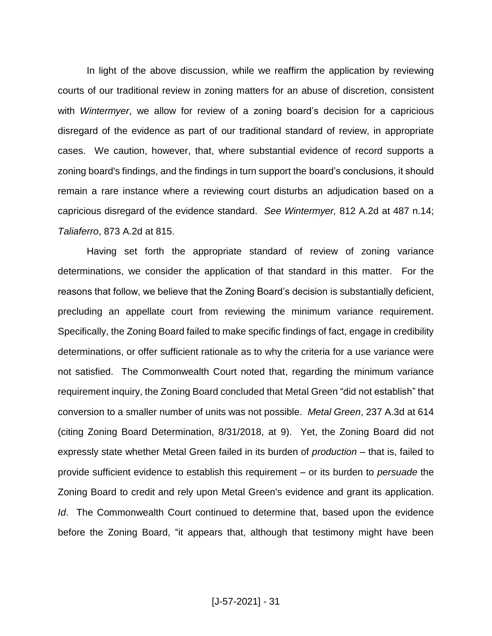In light of the above discussion, while we reaffirm the application by reviewing courts of our traditional review in zoning matters for an abuse of discretion, consistent with *Wintermyer*, we allow for review of a zoning board's decision for a capricious disregard of the evidence as part of our traditional standard of review, in appropriate cases. We caution, however, that, where substantial evidence of record supports a zoning board's findings, and the findings in turn support the board's conclusions, it should remain a rare instance where a reviewing court disturbs an adjudication based on a capricious disregard of the evidence standard. *See Wintermyer,* 812 A.2d at 487 n.14; *Taliaferro*, 873 A.2d at 815.

Having set forth the appropriate standard of review of zoning variance determinations, we consider the application of that standard in this matter. For the reasons that follow, we believe that the Zoning Board's decision is substantially deficient, precluding an appellate court from reviewing the minimum variance requirement. Specifically, the Zoning Board failed to make specific findings of fact, engage in credibility determinations, or offer sufficient rationale as to why the criteria for a use variance were not satisfied. The Commonwealth Court noted that, regarding the minimum variance requirement inquiry, the Zoning Board concluded that Metal Green "did not establish" that conversion to a smaller number of units was not possible. *Metal Green*, 237 A.3d at 614 (citing Zoning Board Determination, 8/31/2018, at 9). Yet, the Zoning Board did not expressly state whether Metal Green failed in its burden of *production* – that is, failed to provide sufficient evidence to establish this requirement – or its burden to *persuade* the Zoning Board to credit and rely upon Metal Green's evidence and grant its application. *Id*. The Commonwealth Court continued to determine that, based upon the evidence before the Zoning Board, "it appears that, although that testimony might have been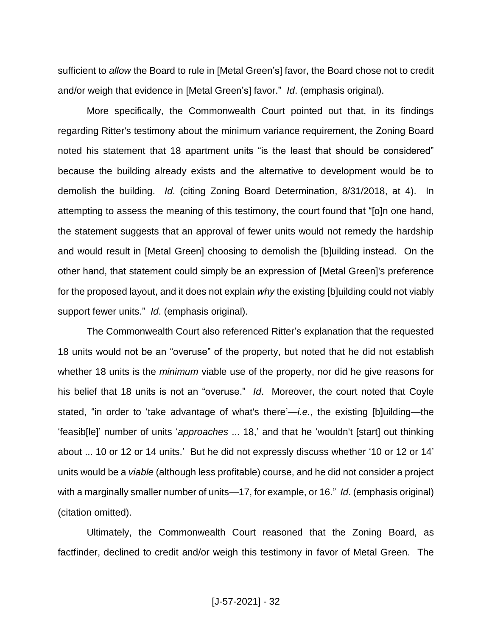sufficient to *allow* the Board to rule in [Metal Green's] favor, the Board chose not to credit and/or weigh that evidence in [Metal Green's] favor." *Id*. (emphasis original).

More specifically, the Commonwealth Court pointed out that, in its findings regarding Ritter's testimony about the minimum variance requirement, the Zoning Board noted his statement that 18 apartment units "is the least that should be considered" because the building already exists and the alternative to development would be to demolish the building. *Id*. (citing Zoning Board Determination, 8/31/2018, at 4). In attempting to assess the meaning of this testimony, the court found that "[o]n one hand, the statement suggests that an approval of fewer units would not remedy the hardship and would result in [Metal Green] choosing to demolish the [b]uilding instead. On the other hand, that statement could simply be an expression of [Metal Green]'s preference for the proposed layout, and it does not explain *why* the existing [b]uilding could not viably support fewer units." *Id*. (emphasis original).

The Commonwealth Court also referenced Ritter's explanation that the requested 18 units would not be an "overuse" of the property, but noted that he did not establish whether 18 units is the *minimum* viable use of the property, nor did he give reasons for his belief that 18 units is not an "overuse." *Id*. Moreover, the court noted that Coyle stated, "in order to 'take advantage of what's there'—*i.e.*, the existing [b]uilding—the 'feasib[le]' number of units '*approaches* ... 18,' and that he 'wouldn't [start] out thinking about ... 10 or 12 or 14 units.' But he did not expressly discuss whether '10 or 12 or 14' units would be a *viable* (although less profitable) course, and he did not consider a project with a marginally smaller number of units—17, for example, or 16." *Id*. (emphasis original) (citation omitted).

Ultimately, the Commonwealth Court reasoned that the Zoning Board, as factfinder, declined to credit and/or weigh this testimony in favor of Metal Green. The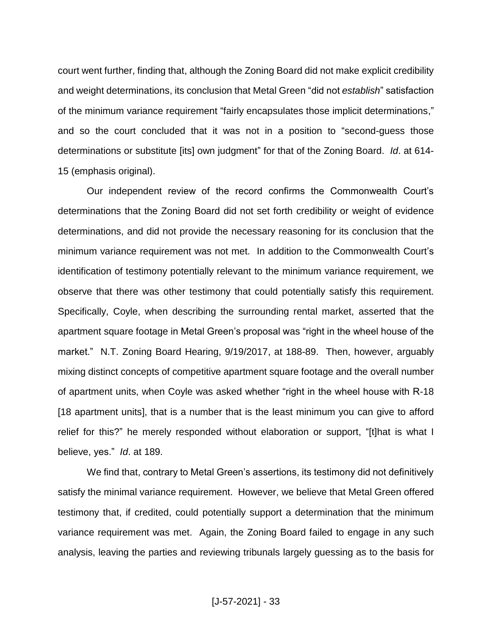court went further, finding that, although the Zoning Board did not make explicit credibility and weight determinations, its conclusion that Metal Green "did not *establish*" satisfaction of the minimum variance requirement "fairly encapsulates those implicit determinations," and so the court concluded that it was not in a position to "second-guess those determinations or substitute [its] own judgment" for that of the Zoning Board. *Id*. at 614- 15 (emphasis original).

Our independent review of the record confirms the Commonwealth Court's determinations that the Zoning Board did not set forth credibility or weight of evidence determinations, and did not provide the necessary reasoning for its conclusion that the minimum variance requirement was not met. In addition to the Commonwealth Court's identification of testimony potentially relevant to the minimum variance requirement, we observe that there was other testimony that could potentially satisfy this requirement. Specifically, Coyle, when describing the surrounding rental market, asserted that the apartment square footage in Metal Green's proposal was "right in the wheel house of the market." N.T. Zoning Board Hearing, 9/19/2017, at 188-89. Then, however, arguably mixing distinct concepts of competitive apartment square footage and the overall number of apartment units, when Coyle was asked whether "right in the wheel house with R-18 [18 apartment units], that is a number that is the least minimum you can give to afford relief for this?" he merely responded without elaboration or support, "[t]hat is what I believe, yes." *Id*. at 189.

We find that, contrary to Metal Green's assertions, its testimony did not definitively satisfy the minimal variance requirement. However, we believe that Metal Green offered testimony that, if credited, could potentially support a determination that the minimum variance requirement was met. Again, the Zoning Board failed to engage in any such analysis, leaving the parties and reviewing tribunals largely guessing as to the basis for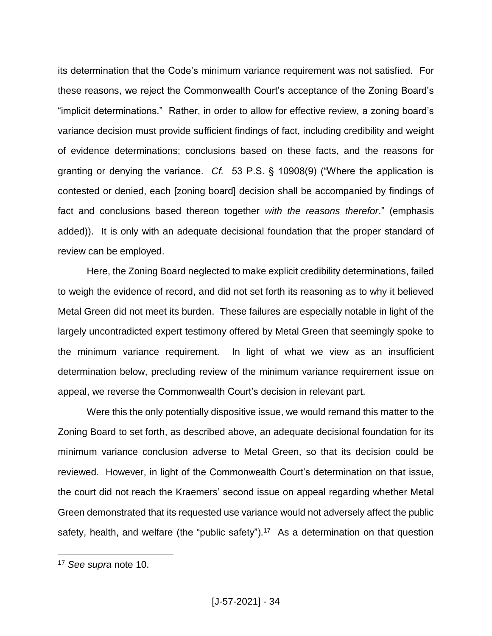its determination that the Code's minimum variance requirement was not satisfied. For these reasons, we reject the Commonwealth Court's acceptance of the Zoning Board's "implicit determinations." Rather, in order to allow for effective review, a zoning board's variance decision must provide sufficient findings of fact, including credibility and weight of evidence determinations; conclusions based on these facts, and the reasons for granting or denying the variance. *Cf.* 53 P.S. § 10908(9) ("Where the application is contested or denied, each [zoning board] decision shall be accompanied by findings of fact and conclusions based thereon together *with the reasons therefor*." (emphasis added)). It is only with an adequate decisional foundation that the proper standard of review can be employed.

Here, the Zoning Board neglected to make explicit credibility determinations, failed to weigh the evidence of record, and did not set forth its reasoning as to why it believed Metal Green did not meet its burden. These failures are especially notable in light of the largely uncontradicted expert testimony offered by Metal Green that seemingly spoke to the minimum variance requirement. In light of what we view as an insufficient determination below, precluding review of the minimum variance requirement issue on appeal, we reverse the Commonwealth Court's decision in relevant part.

Were this the only potentially dispositive issue, we would remand this matter to the Zoning Board to set forth, as described above, an adequate decisional foundation for its minimum variance conclusion adverse to Metal Green, so that its decision could be reviewed. However, in light of the Commonwealth Court's determination on that issue, the court did not reach the Kraemers' second issue on appeal regarding whether Metal Green demonstrated that its requested use variance would not adversely affect the public safety, health, and welfare (the "public safety").<sup>17</sup> As a determination on that question

<sup>17</sup> *See supra* note 10.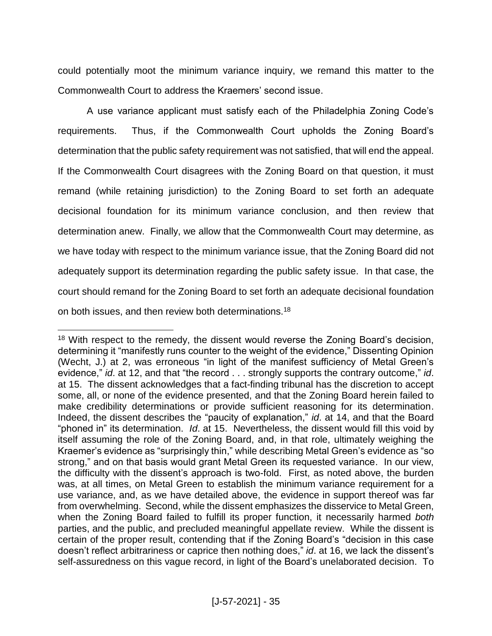could potentially moot the minimum variance inquiry, we remand this matter to the Commonwealth Court to address the Kraemers' second issue.

A use variance applicant must satisfy each of the Philadelphia Zoning Code's requirements. Thus, if the Commonwealth Court upholds the Zoning Board's determination that the public safety requirement was not satisfied, that will end the appeal. If the Commonwealth Court disagrees with the Zoning Board on that question, it must remand (while retaining jurisdiction) to the Zoning Board to set forth an adequate decisional foundation for its minimum variance conclusion, and then review that determination anew. Finally, we allow that the Commonwealth Court may determine, as we have today with respect to the minimum variance issue, that the Zoning Board did not adequately support its determination regarding the public safety issue. In that case, the court should remand for the Zoning Board to set forth an adequate decisional foundation on both issues, and then review both determinations.<sup>18</sup>

<sup>&</sup>lt;sup>18</sup> With respect to the remedy, the dissent would reverse the Zoning Board's decision, determining it "manifestly runs counter to the weight of the evidence," Dissenting Opinion (Wecht, J.) at 2, was erroneous "in light of the manifest sufficiency of Metal Green's evidence," *id*. at 12, and that "the record . . . strongly supports the contrary outcome," *id*. at 15. The dissent acknowledges that a fact-finding tribunal has the discretion to accept some, all, or none of the evidence presented, and that the Zoning Board herein failed to make credibility determinations or provide sufficient reasoning for its determination. Indeed, the dissent describes the "paucity of explanation," *id*. at 14, and that the Board "phoned in" its determination. *Id*. at 15. Nevertheless, the dissent would fill this void by itself assuming the role of the Zoning Board, and, in that role, ultimately weighing the Kraemer's evidence as "surprisingly thin," while describing Metal Green's evidence as "so strong," and on that basis would grant Metal Green its requested variance. In our view, the difficulty with the dissent's approach is two-fold. First, as noted above, the burden was, at all times, on Metal Green to establish the minimum variance requirement for a use variance, and, as we have detailed above, the evidence in support thereof was far from overwhelming. Second, while the dissent emphasizes the disservice to Metal Green, when the Zoning Board failed to fulfill its proper function, it necessarily harmed *both* parties, and the public, and precluded meaningful appellate review. While the dissent is certain of the proper result, contending that if the Zoning Board's "decision in this case doesn't reflect arbitrariness or caprice then nothing does," *id*. at 16, we lack the dissent's self-assuredness on this vague record, in light of the Board's unelaborated decision. To